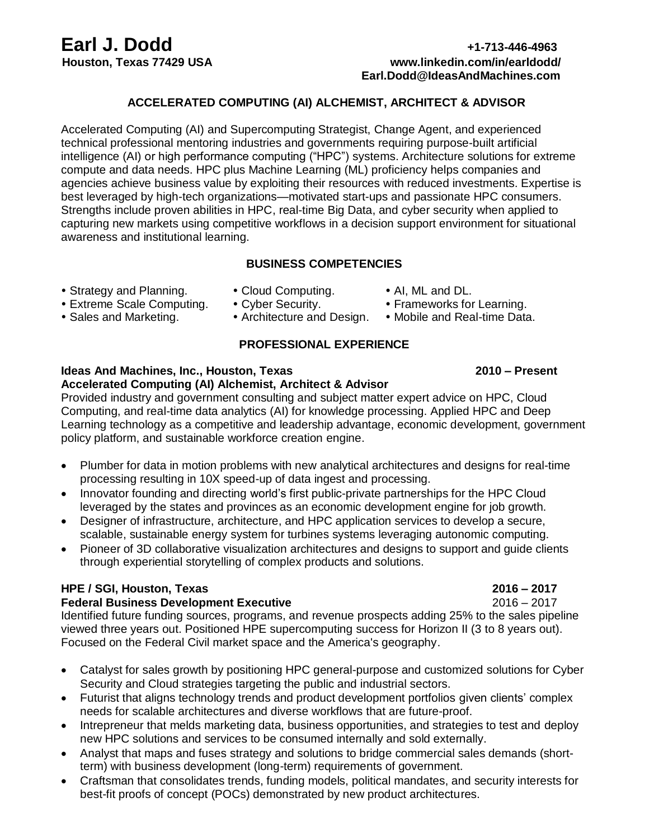# **Earl J. Dodd +1-713-446-4963**

## **Houston, Texas 77429 USA www.linkedin.com/in/earldodd/ Earl.Dodd@IdeasAndMachines.com**

#### **ACCELERATED COMPUTING (AI) ALCHEMIST, ARCHITECT & ADVISOR**

Accelerated Computing (AI) and Supercomputing Strategist, Change Agent, and experienced technical professional mentoring industries and governments requiring purpose-built artificial intelligence (AI) or high performance computing ("HPC") systems. Architecture solutions for extreme compute and data needs. HPC plus Machine Learning (ML) proficiency helps companies and agencies achieve business value by exploiting their resources with reduced investments. Expertise is best leveraged by high-tech organizations—motivated start-ups and passionate HPC consumers. Strengths include proven abilities in HPC, real-time Big Data, and cyber security when applied to capturing new markets using competitive workflows in a decision support environment for situational awareness and institutional learning.

#### **BUSINESS COMPETENCIES**

- Strategy and Planning. Cloud Computing. Al, ML and DL.<br>• Extreme Scale Computing. Cyber Security. Frameworks for Learning.
	-
- Extreme Scale Computing.
- 
- 
- 
- Sales and Marketing. • Architecture and Design. Mobile and Real-time Data.

### **PROFESSIONAL EXPERIENCE**

### **Ideas And Machines, Inc., Houston, Texas 2010 – Present**

### **Accelerated Computing (AI) Alchemist, Architect & Advisor**

Provided industry and government consulting and subject matter expert advice on HPC, Cloud Computing, and real-time data analytics (AI) for knowledge processing. Applied HPC and Deep Learning technology as a competitive and leadership advantage, economic development, government policy platform, and sustainable workforce creation engine.

- Plumber for data in motion problems with new analytical architectures and designs for real-time processing resulting in 10X speed-up of data ingest and processing.
- Innovator founding and directing world's first public-private partnerships for the HPC Cloud leveraged by the states and provinces as an economic development engine for job growth.
- Designer of infrastructure, architecture, and HPC application services to develop a secure, scalable, sustainable energy system for turbines systems leveraging autonomic computing.
- Pioneer of 3D collaborative visualization architectures and designs to support and guide clients through experiential storytelling of complex products and solutions.

#### **HPE / SGI, Houston, Texas 2016 – 2017**

#### **Federal Business Development Executive 2016 – 2017**

Identified future funding sources, programs, and revenue prospects adding 25% to the sales pipeline viewed three years out. Positioned HPE supercomputing success for Horizon II (3 to 8 years out). Focused on the Federal Civil market space and the America's geography.

- Catalyst for sales growth by positioning HPC general-purpose and customized solutions for Cyber Security and Cloud strategies targeting the public and industrial sectors.
- Futurist that aligns technology trends and product development portfolios given clients' complex needs for scalable architectures and diverse workflows that are future-proof.
- Intrepreneur that melds marketing data, business opportunities, and strategies to test and deploy new HPC solutions and services to be consumed internally and sold externally.
- Analyst that maps and fuses strategy and solutions to bridge commercial sales demands (shortterm) with business development (long-term) requirements of government.
- Craftsman that consolidates trends, funding models, political mandates, and security interests for best-fit proofs of concept (POCs) demonstrated by new product architectures.